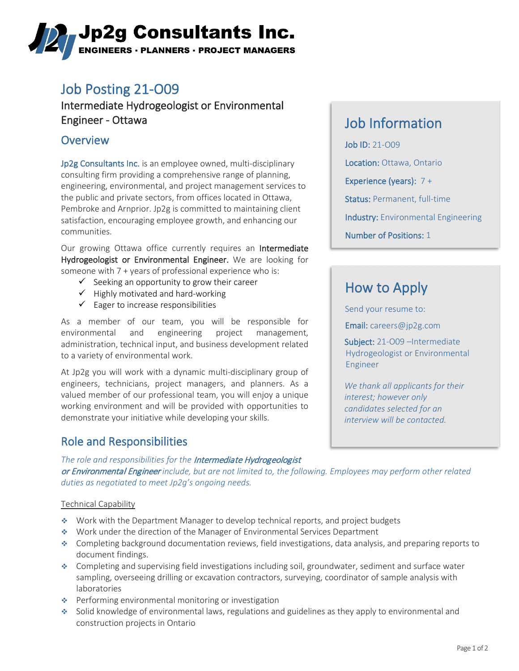# ,Jp2g Consultants Inc. **ENGINEERS · PLANNERS · PROJECT MANAGERS**

## Job Posting 21-O09

Intermediate Hydrogeologist or Environmental Engineer - Ottawa

### **Overview**

Jp2g Consultants Inc. is an employee owned, multi-disciplinary consulting firm providing a comprehensive range of planning, engineering, environmental, and project management services to the public and private sectors, from offices located in Ottawa, Pembroke and Arnprior. Jp2g is committed to maintaining client satisfaction, encouraging employee growth, and enhancing our communities.

Our growing Ottawa office currently requires an Intermediate Hydrogeologist or Environmental Engineer. We are looking for someone with 7 + years of professional experience who is:

- $\checkmark$  Seeking an opportunity to grow their career
- $\checkmark$  Highly motivated and hard-working
- $\checkmark$  Eager to increase responsibilities

As a member of our team, you will be responsible for environmental and engineering project management, administration, technical input, and business development related to a variety of environmental work.

At Jp2g you will work with a dynamic multi-disciplinary group of engineers, technicians, project managers, and planners. As a valued member of our professional team, you will enjoy a unique working environment and will be provided with opportunities to demonstrate your initiative while developing your skills.

### Role and Responsibilities

## Job Information

Job ID: 21-O09 Location: Ottawa, Ontario Experience (years): 7 + Status: Permanent, full-time Industry: Environmental Engineering Number of Positions: 1

## How to Apply

Send your resume to:

Email: [careers@jp2g.com](mailto:careers@jp2g.com?subject=21-O09%20-%20Intermediate%20Hydrogeologist%20or%20Environmental%20Engineer%20)

Subject: 21-009 -Intermediate Hydrogeologist or Environmental Engineer

*We thank all applicants for their interest; however only candidates selected for an interview will be contacted.*

*The role and responsibilities for the* Intermediate Hydrogeologist or Environmental Engineer *include, but are not limited to, the following. Employees may perform other related duties as negotiated to meet Jp2g's ongoing needs.*

### Technical Capability

- Work with the Department Manager to develop technical reports, and project budgets
- Work under the direction of the Manager of Environmental Services Department
- Completing background documentation reviews, field investigations, data analysis, and preparing reports to document findings.
- Completing and supervising field investigations including soil, groundwater, sediment and surface water sampling, overseeing drilling or excavation contractors, surveying, coordinator of sample analysis with laboratories
- ◆ Performing environmental monitoring or investigation
- Solid knowledge of environmental laws, regulations and guidelines as they apply to environmental and construction projects in Ontario